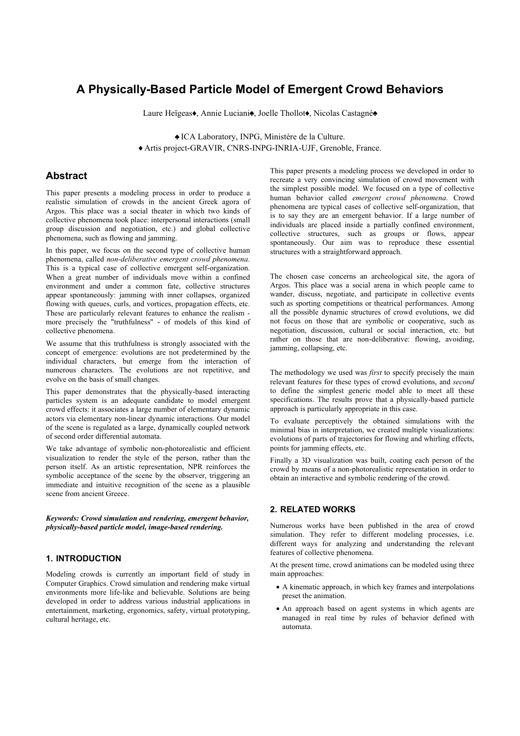# **A Physically-Based Particle Model of Emergent Crowd Behaviors**

Laure Heïgeas•, Annie Luciani•, Joelle Thollot•, Nicolas Castagné◆

z ICA Laboratory, INPG, Ministère de la Culture. x Artis project-GRAVIR, CNRS-INPG-INRIA-UJF, Grenoble, France.

# **Abstract**

This paper presents a modeling process in order to produce a realistic simulation of crowds in the ancient Greek agora of Argos. This place was a social theater in which two kinds of collective phenomena took place: interpersonal interactions (small group discussion and negotiation, etc.) and global collective phenomena, such as flowing and jamming.

In this paper, we focus on the second type of collective human phenomena, called *non-deliberative emergent crowd phenomena*. This is a typical case of collective emergent self-organization. When a great number of individuals move within a confined environment and under a common fate, collective structures appear spontaneously: jamming with inner collapses, organized flowing with queues, curls, and vortices, propagation effects, etc. These are particularly relevant features to enhance the realism more precisely the "truthfulness" - of models of this kind of collective phenomena.

We assume that this truthfulness is strongly associated with the concept of emergence: evolutions are not predetermined by the individual characters, but emerge from the interaction of numerous characters. The evolutions are not repetitive, and evolve on the basis of small changes.

This paper demonstrates that the physically-based interacting particles system is an adequate candidate to model emergent crowd effects: it associates a large number of elementary dynamic actors via elementary non-linear dynamic interactions. Our model of the scene is regulated as a large, dynamically coupled network of second order differential automata.

We take advantage of symbolic non-photorealistic and efficient visualization to render the style of the person, rather than the person itself. As an artistic representation, NPR reinforces the symbolic acceptance of the scene by the observer, triggering an immediate and intuitive recognition of the scene as a plausible scene from ancient Greece.

*Keywords: Crowd simulation and rendering, emergent behavior, physically-based particle model, image-based rendering.* 

### **1. INTRODUCTION**

Modeling crowds is currently an important field of study in Computer Graphics. Crowd simulation and rendering make virtual environments more life-like and believable. Solutions are being developed in order to address various industrial applications in entertainment, marketing, ergonomics, safety, virtual prototyping, cultural heritage, etc.

This paper presents a modeling process we developed in order to recreate a very convincing simulation of crowd movement with the simplest possible model. We focused on a type of collective human behavior called *emergent crowd phenomena*. Crowd phenomena are typical cases of collective self-organization, that is to say they are an emergent behavior. If a large number of individuals are placed inside a partially confined environment, collective structures, such as groups or flows, appear spontaneously. Our aim was to reproduce these essential structures with a straightforward approach.

The chosen case concerns an archeological site, the agora of Argos. This place was a social arena in which people came to wander, discuss, negotiate, and participate in collective events such as sporting competitions or theatrical performances. Among all the possible dynamic structures of crowd evolutions, we did not focus on those that are symbolic or cooperative, such as negotiation, discussion, cultural or social interaction, etc. but rather on those that are non-deliberative: flowing, avoiding, jamming, collapsing, etc.

The methodology we used was *first* to specify precisely the main relevant features for these types of crowd evolutions, and *second* to define the simplest generic model able to meet all these specifications. The results prove that a physically-based particle approach is particularly appropriate in this case.

To evaluate perceptively the obtained simulations with the minimal bias in interpretation, we created multiple visualizations: evolutions of parts of trajectories for flowing and whirling effects, points for jamming effects, etc.

Finally a 3D visualization was built, coating each person of the crowd by means of a non-photorealistic representation in order to obtain an interactive and symbolic rendering of the crowd.

# **2. RELATED WORKS**

Numerous works have been published in the area of crowd simulation. They refer to different modeling processes, i.e. different ways for analyzing and understanding the relevant features of collective phenomena.

At the present time, crowd animations can be modeled using three main approaches:

- A kinematic approach, in which key frames and interpolations preset the animation.
- An approach based on agent systems in which agents are managed in real time by rules of behavior defined with automata.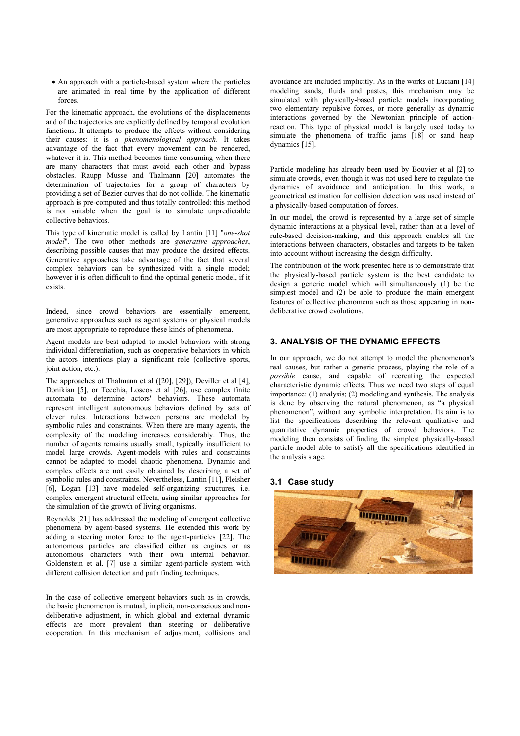• An approach with a particle-based system where the particles are animated in real time by the application of different forces.

For the kinematic approach, the evolutions of the displacements and of the trajectories are explicitly defined by temporal evolution functions. It attempts to produce the effects without considering their causes: it is *a phenomenological approach*. It takes advantage of the fact that every movement can be rendered, whatever it is. This method becomes time consuming when there are many characters that must avoid each other and bypass obstacles. Raupp Musse and Thalmann [20] automates the determination of trajectories for a group of characters by providing a set of Bezier curves that do not collide. The kinematic approach is pre-computed and thus totally controlled: this method is not suitable when the goal is to simulate unpredictable collective behaviors.

This type of kinematic model is called by Lantin [11] "*one-shot model*". The two other methods are *generative approaches*, describing possible causes that may produce the desired effects. Generative approaches take advantage of the fact that several complex behaviors can be synthesized with a single model; however it is often difficult to find the optimal generic model, if it exists.

Indeed, since crowd behaviors are essentially emergent, generative approaches such as agent systems or physical models are most appropriate to reproduce these kinds of phenomena.

Agent models are best adapted to model behaviors with strong individual differentiation, such as cooperative behaviors in which the actors' intentions play a significant role (collective sports, joint action, etc.).

The approaches of Thalmann et al ([20], [29]), Deviller et al [4], Donikian [5], or Tecchia, Loscos et al [26], use complex finite automata to determine actors' behaviors. These automata represent intelligent autonomous behaviors defined by sets of clever rules. Interactions between persons are modeled by symbolic rules and constraints. When there are many agents, the complexity of the modeling increases considerably. Thus, the number of agents remains usually small, typically insufficient to model large crowds. Agent-models with rules and constraints cannot be adapted to model chaotic phenomena. Dynamic and complex effects are not easily obtained by describing a set of symbolic rules and constraints. Nevertheless, Lantin [11], Fleisher [6]. Logan [13] have modeled self-organizing structures, i.e. complex emergent structural effects, using similar approaches for the simulation of the growth of living organisms.

Reynolds [21] has addressed the modeling of emergent collective phenomena by agent-based systems. He extended this work by adding a steering motor force to the agent-particles [22]. The autonomous particles are classified either as engines or as autonomous characters with their own internal behavior. Goldenstein et al. [7] use a similar agent-particle system with different collision detection and path finding techniques.

In the case of collective emergent behaviors such as in crowds, the basic phenomenon is mutual, implicit, non-conscious and nondeliberative adjustment, in which global and external dynamic effects are more prevalent than steering or deliberative cooperation. In this mechanism of adjustment, collisions and

avoidance are included implicitly. As in the works of Luciani [14] modeling sands, fluids and pastes, this mechanism may be simulated with physically-based particle models incorporating two elementary repulsive forces, or more generally as dynamic interactions governed by the Newtonian principle of actionreaction. This type of physical model is largely used today to simulate the phenomena of traffic jams [18] or sand heap dynamics [15].

Particle modeling has already been used by Bouvier et al [2] to simulate crowds, even though it was not used here to regulate the dynamics of avoidance and anticipation. In this work, a geometrical estimation for collision detection was used instead of a physically-based computation of forces.

In our model, the crowd is represented by a large set of simple dynamic interactions at a physical level, rather than at a level of rule-based decision-making, and this approach enables all the interactions between characters, obstacles and targets to be taken into account without increasing the design difficulty.

The contribution of the work presented here is to demonstrate that the physically-based particle system is the best candidate to design a generic model which will simultaneously (1) be the simplest model and (2) be able to produce the main emergent features of collective phenomena such as those appearing in nondeliberative crowd evolutions.

# **3. ANALYSIS OF THE DYNAMIC EFFECTS**

In our approach, we do not attempt to model the phenomenon's real causes, but rather a generic process, playing the role of a *possible* cause, and capable of recreating the expected characteristic dynamic effects. Thus we need two steps of equal importance: (1) analysis; (2) modeling and synthesis. The analysis is done by observing the natural phenomenon, as "a physical phenomenon", without any symbolic interpretation. Its aim is to list the specifications describing the relevant qualitative and quantitative dynamic properties of crowd behaviors. The modeling then consists of finding the simplest physically-based particle model able to satisfy all the specifications identified in the analysis stage.

## **3.1 Case study**

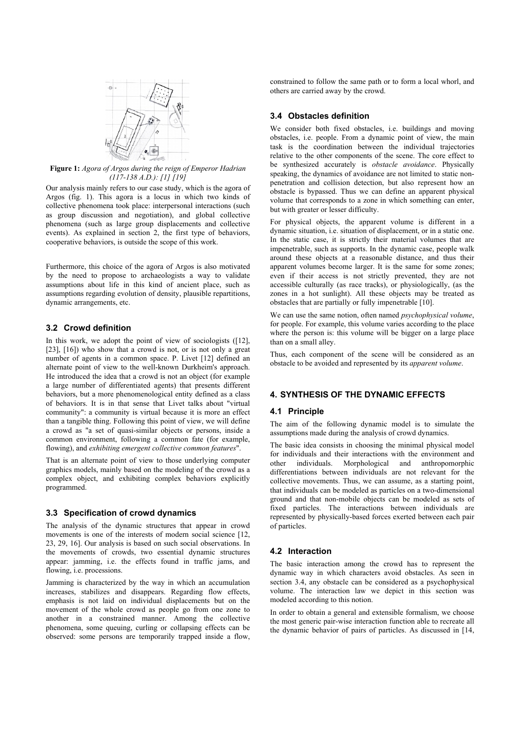

**Figure 1:** *Agora of Argos during the reign of Emperor Hadrian (117-138 A.D.): [1] [19]*

Our analysis mainly refers to our case study, which is the agora of Argos (fig. 1). This agora is a locus in which two kinds of collective phenomena took place: interpersonal interactions (such as group discussion and negotiation), and global collective phenomena (such as large group displacements and collective events). As explained in section 2, the first type of behaviors, cooperative behaviors, is outside the scope of this work.

Furthermore, this choice of the agora of Argos is also motivated by the need to propose to archaeologists a way to validate assumptions about life in this kind of ancient place, such as assumptions regarding evolution of density, plausible repartitions, dynamic arrangements, etc.

## **3.2 Crowd definition**

In this work, we adopt the point of view of sociologists ([12], [23], [16]) who show that a crowd is not, or is not only a great number of agents in a common space. P. Livet [12] defined an alternate point of view to the well-known Durkheim's approach. He introduced the idea that a crowd is not an object (for example a large number of differentiated agents) that presents different behaviors, but a more phenomenological entity defined as a class of behaviors. It is in that sense that Livet talks about "virtual community": a community is virtual because it is more an effect than a tangible thing. Following this point of view, we will define a crowd as "a set of quasi-similar objects or persons, inside a common environment, following a common fate (for example, flowing), and *exhibiting emergent collective common features*".

That is an alternate point of view to those underlying computer graphics models, mainly based on the modeling of the crowd as a complex object, and exhibiting complex behaviors explicitly programmed.

#### **3.3 Specification of crowd dynamics**

The analysis of the dynamic structures that appear in crowd movements is one of the interests of modern social science [12, 23, 29, 16]. Our analysis is based on such social observations. In the movements of crowds, two essential dynamic structures appear: jamming, i.e. the effects found in traffic jams, and flowing, i.e. processions.

Jamming is characterized by the way in which an accumulation increases, stabilizes and disappears. Regarding flow effects, emphasis is not laid on individual displacements but on the movement of the whole crowd as people go from one zone to another in a constrained manner. Among the collective phenomena, some queuing, curling or collapsing effects can be observed: some persons are temporarily trapped inside a flow, constrained to follow the same path or to form a local whorl, and others are carried away by the crowd.

## **3.4 Obstacles definition**

We consider both fixed obstacles, i.e. buildings and moving obstacles, i.e. people. From a dynamic point of view, the main task is the coordination between the individual trajectories relative to the other components of the scene. The core effect to be synthesized accurately is *obstacle avoidance*. Physically speaking, the dynamics of avoidance are not limited to static nonpenetration and collision detection, but also represent how an obstacle is bypassed. Thus we can define an apparent physical volume that corresponds to a zone in which something can enter, but with greater or lesser difficulty.

For physical objects, the apparent volume is different in a dynamic situation, i.e. situation of displacement, or in a static one. In the static case, it is strictly their material volumes that are impenetrable, such as supports. In the dynamic case, people walk around these objects at a reasonable distance, and thus their apparent volumes become larger. It is the same for some zones; even if their access is not strictly prevented, they are not accessible culturally (as race tracks), or physiologically, (as the zones in a hot sunlight). All these objects may be treated as obstacles that are partially or fully impenetrable [10].

We can use the same notion, often named *psychophysical volume*, for people. For example, this volume varies according to the place where the person is: this volume will be bigger on a large place than on a small alley.

Thus, each component of the scene will be considered as an obstacle to be avoided and represented by its *apparent volume*.

# **4. SYNTHESIS OF THE DYNAMIC EFFECTS**

# **4.1 Principle**

The aim of the following dynamic model is to simulate the assumptions made during the analysis of crowd dynamics.

The basic idea consists in choosing the minimal physical model for individuals and their interactions with the environment and other individuals. Morphological and anthropomorphic differentiations between individuals are not relevant for the collective movements. Thus, we can assume, as a starting point, that individuals can be modeled as particles on a two-dimensional ground and that non-mobile objects can be modeled as sets of fixed particles. The interactions between individuals are represented by physically-based forces exerted between each pair of particles.

# **4.2 Interaction**

The basic interaction among the crowd has to represent the dynamic way in which characters avoid obstacles. As seen in section 3.4, any obstacle can be considered as a psychophysical volume. The interaction law we depict in this section was modeled according to this notion.

In order to obtain a general and extensible formalism, we choose the most generic pair-wise interaction function able to recreate all the dynamic behavior of pairs of particles. As discussed in [14,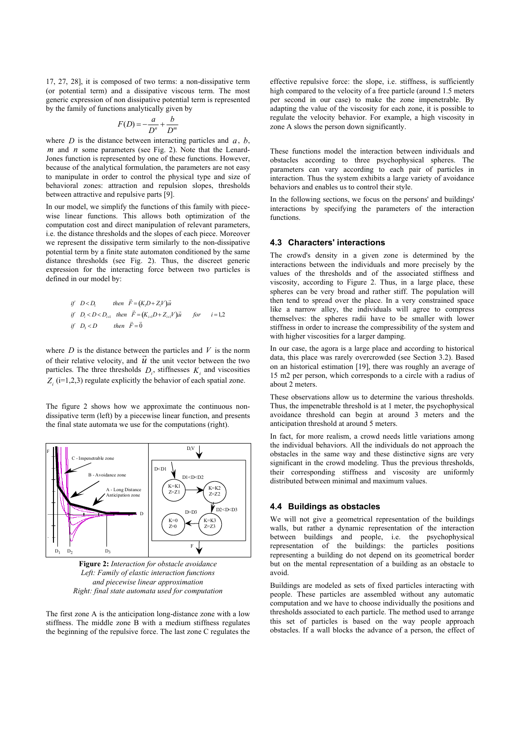17, 27, 28], it is composed of two terms: a non-dissipative term (or potential term) and a dissipative viscous term. The most generic expression of non dissipative potential term is represented by the family of functions analytically given by

$$
F(D) = -\frac{a}{D^n} + \frac{b}{D^m}
$$

where *D* is the distance between interacting particles and *a*, *b*, *m* and *n* some parameters (see Fig. 2). Note that the Lenard-Jones function is represented by one of these functions. However, because of the analytical formulation, the parameters are not easy to manipulate in order to control the physical type and size of behavioral zones: attraction and repulsion slopes, thresholds between attractive and repulsive parts [9].

In our model, we simplify the functions of this family with piecewise linear functions. This allows both optimization of the computation cost and direct manipulation of relevant parameters, i.e. the distance thresholds and the slopes of each piece. Moreover we represent the dissipative term similarly to the non-dissipative potential term by a finite state automaton conditioned by the same distance thresholds (see Fig. 2). Thus, the discreet generic expression for the interacting force between two particles is defined in our model by:

$$
\begin{aligned}\n\text{if} \quad & D < D_1 \\
\text{if} \quad & D_i < D < D_{i+1} \\
\text{then} \quad & \vec{F} = (K_i D + Z_i V) \vec{u} \\
\text{if} \quad & D_i < D < D_{i+1} \\
\text{then} \quad & \vec{F} = \vec{0}\n\end{aligned}
$$
\n
$$
\begin{aligned}\n\text{if} \quad & D_i < D < D_{i+1} \\
\text{then} \quad & \vec{F} = \vec{0}\n\end{aligned}
$$

where  $D$  is the distance between the particles and  $V$  is the norm where *D* is the unstance between the particles and  $\vec{v}$  is the norm of their relative velocity, and  $\vec{u}$  the unit vector between the two particles. The three thresholds  $D_i$ , stiffnesses  $K_i$  and viscosities  $Z_i$  (i=1,2,3) regulate explicitly the behavior of each spatial zone.

The figure 2 shows how we approximate the continuous nondissipative term (left) by a piecewise linear function, and presents the final state automata we use for the computations (right).



**Figure 2:** *Interaction for obstacle avoidance Left: Family of elastic interaction functions and piecewise linear approximation Right: final state automata used for computation* 

The first zone A is the anticipation long-distance zone with a low stiffness. The middle zone B with a medium stiffness regulates the beginning of the repulsive force. The last zone C regulates the effective repulsive force: the slope, i.e. stiffness, is sufficiently high compared to the velocity of a free particle (around 1.5 meters per second in our case) to make the zone impenetrable. By adapting the value of the viscosity for each zone, it is possible to regulate the velocity behavior. For example, a high viscosity in zone A slows the person down significantly.

These functions model the interaction between individuals and obstacles according to three psychophysical spheres. The parameters can vary according to each pair of particles in interaction. Thus the system exhibits a large variety of avoidance behaviors and enables us to control their style.

In the following sections, we focus on the persons' and buildings' interactions by specifying the parameters of the interaction functions.

#### **4.3 Characters' interactions**

The crowd's density in a given zone is determined by the interactions between the individuals and more precisely by the values of the thresholds and of the associated stiffness and viscosity, according to Figure 2. Thus, in a large place, these spheres can be very broad and rather stiff. The population will then tend to spread over the place. In a very constrained space like a narrow alley, the individuals will agree to compress themselves: the spheres radii have to be smaller with lower stiffness in order to increase the compressibility of the system and with higher viscosities for a larger damping.

In our case, the agora is a large place and according to historical data, this place was rarely overcrowded (see Section 3.2). Based on an historical estimation [19], there was roughly an average of 15 m2 per person, which corresponds to a circle with a radius of about 2 meters.

These observations allow us to determine the various thresholds. Thus, the impenetrable threshold is at 1 meter, the psychophysical avoidance threshold can begin at around 3 meters and the anticipation threshold at around 5 meters.

In fact, for more realism, a crowd needs little variations among the individual behaviors. All the individuals do not approach the obstacles in the same way and these distinctive signs are very significant in the crowd modeling. Thus the previous thresholds, their corresponding stiffness and viscosity are uniformly distributed between minimal and maximum values.

### **4.4 Buildings as obstacles**

We will not give a geometrical representation of the buildings walls, but rather a dynamic representation of the interaction between buildings and people, i.e. the psychophysical representation of the buildings: the particles positions representing a building do not depend on its geometrical border but on the mental representation of a building as an obstacle to avoid.

Buildings are modeled as sets of fixed particles interacting with people. These particles are assembled without any automatic computation and we have to choose individually the positions and thresholds associated to each particle. The method used to arrange this set of particles is based on the way people approach obstacles. If a wall blocks the advance of a person, the effect of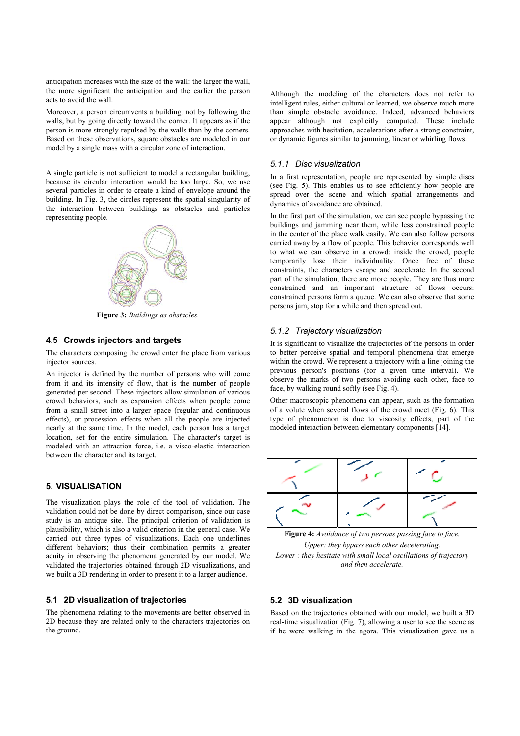anticipation increases with the size of the wall: the larger the wall, the more significant the anticipation and the earlier the person acts to avoid the wall.

Moreover, a person circumvents a building, not by following the walls, but by going directly toward the corner. It appears as if the person is more strongly repulsed by the walls than by the corners. Based on these observations, square obstacles are modeled in our model by a single mass with a circular zone of interaction.

A single particle is not sufficient to model a rectangular building, because its circular interaction would be too large. So, we use several particles in order to create a kind of envelope around the building. In Fig. 3, the circles represent the spatial singularity of the interaction between buildings as obstacles and particles representing people.



**Figure 3:** *Buildings as obstacles.*

# **4.5 Crowds injectors and targets**

The characters composing the crowd enter the place from various injector sources.

An injector is defined by the number of persons who will come from it and its intensity of flow, that is the number of people generated per second. These injectors allow simulation of various crowd behaviors, such as expansion effects when people come from a small street into a larger space (regular and continuous effects), or procession effects when all the people are injected nearly at the same time. In the model, each person has a target location, set for the entire simulation. The character's target is modeled with an attraction force, i.e. a visco-elastic interaction between the character and its target.

# **5. VISUALISATION**

The visualization plays the role of the tool of validation. The validation could not be done by direct comparison, since our case study is an antique site. The principal criterion of validation is plausibility, which is also a valid criterion in the general case. We carried out three types of visualizations. Each one underlines different behaviors; thus their combination permits a greater acuity in observing the phenomena generated by our model. We validated the trajectories obtained through 2D visualizations, and we built a 3D rendering in order to present it to a larger audience.

### **5.1 2D visualization of trajectories**

The phenomena relating to the movements are better observed in 2D because they are related only to the characters trajectories on the ground.

Although the modeling of the characters does not refer to intelligent rules, either cultural or learned, we observe much more than simple obstacle avoidance. Indeed, advanced behaviors appear although not explicitly computed. These include approaches with hesitation, accelerations after a strong constraint, or dynamic figures similar to jamming, linear or whirling flows.

#### *5.1.1 Disc visualization*

In a first representation, people are represented by simple discs (see Fig. 5). This enables us to see efficiently how people are spread over the scene and which spatial arrangements and dynamics of avoidance are obtained.

In the first part of the simulation, we can see people bypassing the buildings and jamming near them, while less constrained people in the center of the place walk easily. We can also follow persons carried away by a flow of people. This behavior corresponds well to what we can observe in a crowd: inside the crowd, people temporarily lose their individuality. Once free of these constraints, the characters escape and accelerate. In the second part of the simulation, there are more people. They are thus more constrained and an important structure of flows occurs: constrained persons form a queue. We can also observe that some persons jam, stop for a while and then spread out.

#### *5.1.2 Trajectory visualization*

It is significant to visualize the trajectories of the persons in order to better perceive spatial and temporal phenomena that emerge within the crowd. We represent a trajectory with a line joining the previous person's positions (for a given time interval). We observe the marks of two persons avoiding each other, face to face, by walking round softly (see Fig. 4).

Other macroscopic phenomena can appear, such as the formation of a volute when several flows of the crowd meet (Fig. 6). This type of phenomenon is due to viscosity effects, part of the modeled interaction between elementary components [14].



**Figure 4:** *Avoidance of two persons passing face to face. Upper: they bypass each other decelerating. Lower : they hesitate with small local oscillations of trajectory and then accelerate.*

#### **5.2 3D visualization**

Based on the trajectories obtained with our model, we built a 3D real-time visualization (Fig. 7), allowing a user to see the scene as if he were walking in the agora. This visualization gave us a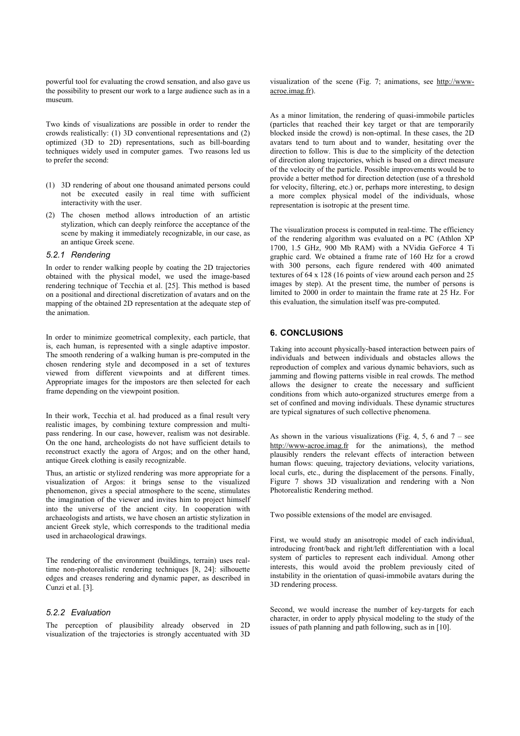powerful tool for evaluating the crowd sensation, and also gave us the possibility to present our work to a large audience such as in a museum.

Two kinds of visualizations are possible in order to render the crowds realistically: (1) 3D conventional representations and (2) optimized (3D to 2D) representations, such as bill-boarding techniques widely used in computer games. Two reasons led us to prefer the second:

- (1) 3D rendering of about one thousand animated persons could not be executed easily in real time with sufficient interactivity with the user.
- (2) The chosen method allows introduction of an artistic stylization, which can deeply reinforce the acceptance of the scene by making it immediately recognizable, in our case, as an antique Greek scene.

#### *5.2.1 Rendering*

In order to render walking people by coating the 2D trajectories obtained with the physical model, we used the image-based rendering technique of Tecchia et al. [25]. This method is based on a positional and directional discretization of avatars and on the mapping of the obtained 2D representation at the adequate step of the animation.

In order to minimize geometrical complexity, each particle, that is, each human, is represented with a single adaptive impostor. The smooth rendering of a walking human is pre-computed in the chosen rendering style and decomposed in a set of textures viewed from different viewpoints and at different times. Appropriate images for the impostors are then selected for each frame depending on the viewpoint position.

In their work, Tecchia et al. had produced as a final result very realistic images, by combining texture compression and multipass rendering. In our case, however, realism was not desirable. On the one hand, archeologists do not have sufficient details to reconstruct exactly the agora of Argos; and on the other hand, antique Greek clothing is easily recognizable.

Thus, an artistic or stylized rendering was more appropriate for a visualization of Argos: it brings sense to the visualized phenomenon, gives a special atmosphere to the scene, stimulates the imagination of the viewer and invites him to project himself into the universe of the ancient city. In cooperation with archaeologists and artists, we have chosen an artistic stylization in ancient Greek style, which corresponds to the traditional media used in archaeological drawings.

The rendering of the environment (buildings, terrain) uses realtime non-photorealistic rendering techniques [8, 24]: silhouette edges and creases rendering and dynamic paper, as described in Cunzi et al. [3].

# *5.2.2 Evaluation*

The perception of plausibility already observed in 2D visualization of the trajectories is strongly accentuated with 3D visualization of the scene (Fig. 7; animations, see http://wwwacroe.imag.fr).

As a minor limitation, the rendering of quasi-immobile particles (particles that reached their key target or that are temporarily blocked inside the crowd) is non-optimal. In these cases, the 2D avatars tend to turn about and to wander, hesitating over the direction to follow. This is due to the simplicity of the detection of direction along trajectories, which is based on a direct measure of the velocity of the particle. Possible improvements would be to provide a better method for direction detection (use of a threshold for velocity, filtering, etc.) or, perhaps more interesting, to design a more complex physical model of the individuals, whose representation is isotropic at the present time.

The visualization process is computed in real-time. The efficiency of the rendering algorithm was evaluated on a PC (Athlon XP 1700, 1.5 GHz, 900 Mb RAM) with a NVidia GeForce 4 Ti graphic card. We obtained a frame rate of 160 Hz for a crowd with 300 persons, each figure rendered with 400 animated textures of 64 x 128 (16 points of view around each person and 25 images by step). At the present time, the number of persons is limited to 2000 in order to maintain the frame rate at 25 Hz. For this evaluation, the simulation itself was pre-computed.

### **6. CONCLUSIONS**

Taking into account physically-based interaction between pairs of individuals and between individuals and obstacles allows the reproduction of complex and various dynamic behaviors, such as jamming and flowing patterns visible in real crowds. The method allows the designer to create the necessary and sufficient conditions from which auto-organized structures emerge from a set of confined and moving individuals. These dynamic structures are typical signatures of such collective phenomena.

As shown in the various visualizations (Fig. 4, 5, 6 and  $7$  – see http://www-acroe.imag.fr for the animations), the method plausibly renders the relevant effects of interaction between human flows: queuing, trajectory deviations, velocity variations, local curls, etc., during the displacement of the persons. Finally, Figure 7 shows 3D visualization and rendering with a Non Photorealistic Rendering method.

Two possible extensions of the model are envisaged.

First, we would study an anisotropic model of each individual, introducing front/back and right/left differentiation with a local system of particles to represent each individual. Among other interests, this would avoid the problem previously cited of instability in the orientation of quasi-immobile avatars during the 3D rendering process.

Second, we would increase the number of key-targets for each character, in order to apply physical modeling to the study of the issues of path planning and path following, such as in [10].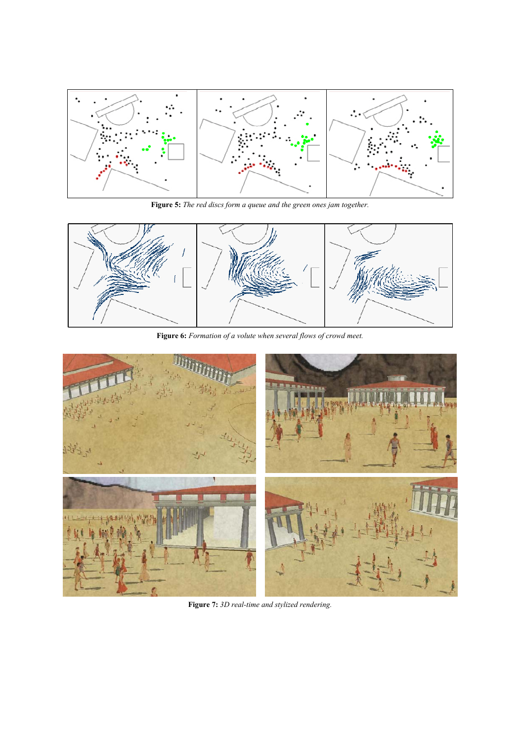

**Figure 5:** *The red discs form a queue and the green ones jam together.* 



**Figure 6:** *Formation of a volute when several flows of crowd meet.* 



**Figure 7:** *3D real-time and stylized rendering.*